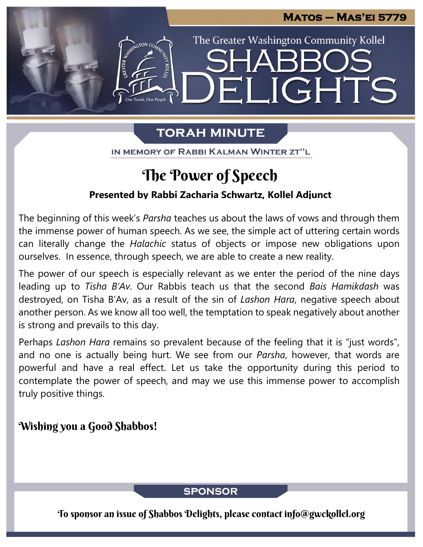

The Greater Washington Community Kollel

ELIGHTS

# **TORAH MINUTE**

IN MEMORY OF RABBI KALMAN WINTER ZT"L

# The Power of Speech

### **Presented by Rabbi Zacharia Schwartz, Kollel Adjunct**

The beginning of this week's *Parsha* teaches us about the laws of vows and through them the immense power of human speech. As we see, the simple act of uttering certain words can literally change the *Halachic* status of objects or impose new obligations upon ourselves. In essence, through speech, we are able to create a new reality.

The power of our speech is especially relevant as we enter the period of the nine days leading up to *Tisha B'Av*. Our Rabbis teach us that the second *Bais Hamikdash* was destroyed, on Tisha B'Av, as a result of the sin of *Lashon Hara*, negative speech about another person. As we know all too well, the temptation to speak negatively about another is strong and prevails to this day.

Perhaps *Lashon Hara* remains so prevalent because of the feeling that it is "just words", and no one is actually being hurt. We see from our *Parsha*, however, that words are powerful and have a real effect. Let us take the opportunity during this period to contemplate the power of speech, and may we use this immense power to accomplish truly positive things.

### Wishing you a Good Shabbos!

### **SPONSOR**

To sponsor an issue of Shabbos Delights, please contact info@gwckollel.org